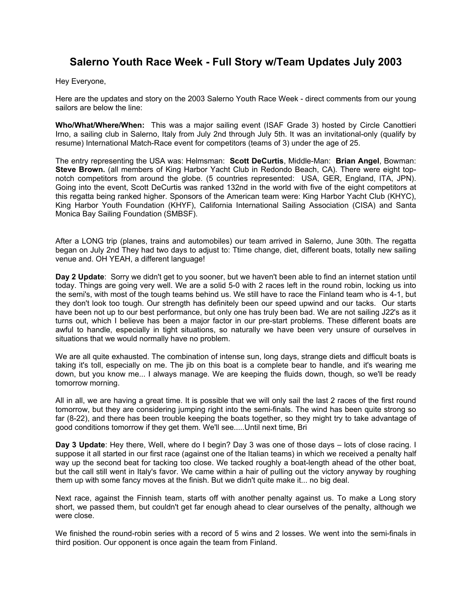## **Salerno Youth Race Week - Full Story w/Team Updates July 2003**

Hey Everyone,

Here are the updates and story on the 2003 Salerno Youth Race Week - direct comments from our young sailors are below the line:

**Who/What/Where/When:** This was a major sailing event (ISAF Grade 3) hosted by Circle Canottieri Irno, a sailing club in Salerno, Italy from July 2nd through July 5th. It was an invitational-only (qualify by resume) International Match-Race event for competitors (teams of 3) under the age of 25.

The entry representing the USA was: Helmsman: **Scott DeCurtis**, Middle-Man: **Brian Angel**, Bowman: **Steve Brown.** (all members of King Harbor Yacht Club in Redondo Beach, CA). There were eight topnotch competitors from around the globe. (5 countries represented: USA, GER, England, ITA, JPN). Going into the event, Scott DeCurtis was ranked 132nd in the world with five of the eight competitors at this regatta being ranked higher. Sponsors of the American team were: King Harbor Yacht Club (KHYC), King Harbor Youth Foundation (KHYF), California International Sailing Association (CISA) and Santa Monica Bay Sailing Foundation (SMBSF).

After a LONG trip (planes, trains and automobiles) our team arrived in Salerno, June 30th. The regatta began on July 2nd They had two days to adjust to: Ttime change, diet, different boats, totally new sailing venue and. OH YEAH, a different language!

**Day 2 Update**: Sorry we didn't get to you sooner, but we haven't been able to find an internet station until today. Things are going very well. We are a solid 5-0 with 2 races left in the round robin, locking us into the semi's, with most of the tough teams behind us. We still have to race the Finland team who is 4-1, but they don't look too tough. Our strength has definitely been our speed upwind and our tacks. Our starts have been not up to our best performance, but only one has truly been bad. We are not sailing J22's as it turns out, which I believe has been a major factor in our pre-start problems. These different boats are awful to handle, especially in tight situations, so naturally we have been very unsure of ourselves in situations that we would normally have no problem.

We are all quite exhausted. The combination of intense sun, long days, strange diets and difficult boats is taking it's toll, especially on me. The jib on this boat is a complete bear to handle, and it's wearing me down, but you know me... I always manage. We are keeping the fluids down, though, so we'll be ready tomorrow morning.

All in all, we are having a great time. It is possible that we will only sail the last 2 races of the first round tomorrow, but they are considering jumping right into the semi-finals. The wind has been quite strong so far (8-22), and there has been trouble keeping the boats together, so they might try to take advantage of good conditions tomorrow if they get them. We'll see.....Until next time, Bri

**Day 3 Update**: Hey there, Well, where do I begin? Day 3 was one of those days – lots of close racing. I suppose it all started in our first race (against one of the Italian teams) in which we received a penalty half way up the second beat for tacking too close. We tacked roughly a boat-length ahead of the other boat, but the call still went in Italy's favor. We came within a hair of pulling out the victory anyway by roughing them up with some fancy moves at the finish. But we didn't quite make it... no big deal.

Next race, against the Finnish team, starts off with another penalty against us. To make a Long story short, we passed them, but couldn't get far enough ahead to clear ourselves of the penalty, although we were close.

We finished the round-robin series with a record of 5 wins and 2 losses. We went into the semi-finals in third position. Our opponent is once again the team from Finland.